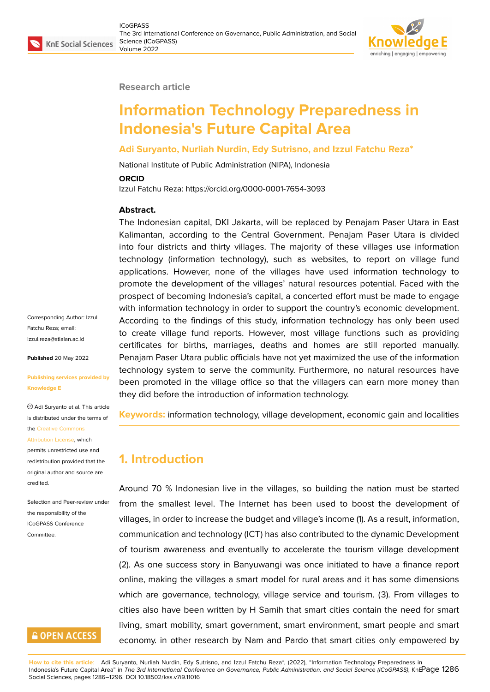#### **Research article**

# **Information Technology Preparedness in Indonesia's Future Capital Area**

#### **Adi Suryanto, Nurliah Nurdin, Edy Sutrisno, and Izzul Fatchu Reza\***

National Institute of Public Administration (NIPA), Indonesia

#### **ORCID**

Izzul Fatchu Reza: https://orcid.org/0000-0001-7654-3093

#### **Abstract.**

The Indonesian capital, DKI Jakarta, will be replaced by Penajam Paser Utara in East Kalimantan, according to the Central Government. Penajam Paser Utara is divided into four districts and thirty villages. The majority of these villages use information technology (information technology), such as websites, to report on village fund applications. However, none of the villages have used information technology to promote the development of the villages' natural resources potential. Faced with the prospect of becoming Indonesia's capital, a concerted effort must be made to engage with information technology in order to support the country's economic development. According to the findings of this study, information technology has only been used to create village fund reports. However, most village functions such as providing certificates for births, marriages, deaths and homes are still reported manually. Penajam Paser Utara public officials have not yet maximized the use of the information technology system to serve the community. Furthermore, no natural resources have been promoted in the village office so that the villagers can earn more money than they did before the introduction of information technology.

**Keywords:** information technology, village development, economic gain and localities

### **1. Introduction**

Around 70 % Indonesian live in the villages, so building the nation must be started from the smallest level. The Internet has been used to boost the development of villages, in order to increase the budget and village's income (1). As a result, information, communication and technology (ICT) has also contributed to the dynamic Development of tourism awareness and eventually to accelerate the tourism village development (2). As one success story in Banyuwangi was once initiated to have a finance report online, making the villages a smart model for rural areas and it has some dimensions which are governance, technology, village service and tourism. (3). From villages to cities also have been written by H Samih that smart cities contain the need for smart living, smart mobility, smart government, smart environment, smart people and smart economy. in other research by Nam and Pardo that smart cities only empowered by

Corresponding Author: Izzul Fatchu Reza; email: izzul.reza@stialan.ac.id

**Published** 20 May 2022

#### **[Publishing services pro](mailto:izzul.reza@stialan.ac.id)vided by Knowledge E**

Adi Suryanto et al. This article is distributed under the terms of the Creative Commons

#### Attribution License, which

permits unrestricted use and redistribution provided that the orig[inal author and sou](https://creativecommons.org/licenses/by/4.0/)rce are [credited.](https://creativecommons.org/licenses/by/4.0/)

Selection and Peer-review under the responsibility of the ICoGPASS Conference Committee.

# **GOPEN ACCESS**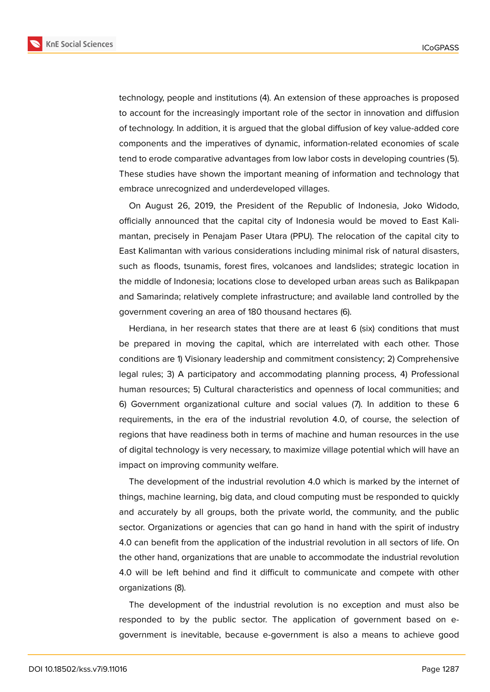**KnE Social Sciences** 



technology, people and institutions (4). An extension of these approaches is proposed to account for the increasingly important role of the sector in innovation and diffusion of technology. In addition, it is argued that the global diffusion of key value-added core components and the imperatives of dynamic, information-related economies of scale tend to erode comparative advantages from low labor costs in developing countries (5). These studies have shown the important meaning of information and technology that embrace unrecognized and underdeveloped villages.

On August 26, 2019, the President of the Republic of Indonesia, Joko Widodo, officially announced that the capital city of Indonesia would be moved to East Kalimantan, precisely in Penajam Paser Utara (PPU). The relocation of the capital city to East Kalimantan with various considerations including minimal risk of natural disasters, such as floods, tsunamis, forest fires, volcanoes and landslides; strategic location in the middle of Indonesia; locations close to developed urban areas such as Balikpapan and Samarinda; relatively complete infrastructure; and available land controlled by the government covering an area of 180 thousand hectares (6).

Herdiana, in her research states that there are at least 6 (six) conditions that must be prepared in moving the capital, which are interrelated with each other. Those conditions are 1) Visionary leadership and commitment consistency; 2) Comprehensive legal rules; 3) A participatory and accommodating planning process, 4) Professional human resources; 5) Cultural characteristics and openness of local communities; and 6) Government organizational culture and social values (7). In addition to these 6 requirements, in the era of the industrial revolution 4.0, of course, the selection of regions that have readiness both in terms of machine and human resources in the use of digital technology is very necessary, to maximize village potential which will have an impact on improving community welfare.

The development of the industrial revolution 4.0 which is marked by the internet of things, machine learning, big data, and cloud computing must be responded to quickly and accurately by all groups, both the private world, the community, and the public sector. Organizations or agencies that can go hand in hand with the spirit of industry 4.0 can benefit from the application of the industrial revolution in all sectors of life. On the other hand, organizations that are unable to accommodate the industrial revolution 4.0 will be left behind and find it difficult to communicate and compete with other organizations (8).

The development of the industrial revolution is no exception and must also be responded to by the public sector. The application of government based on egovernment is inevitable, because e-government is also a means to achieve good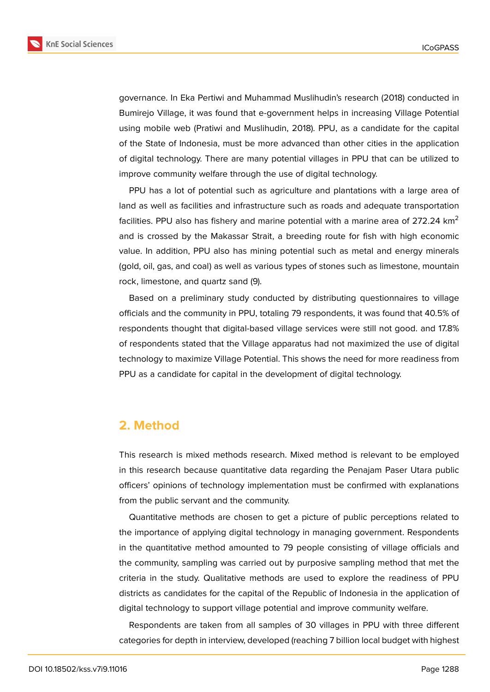

governance. In Eka Pertiwi and Muhammad Muslihudin's research (2018) conducted in Bumirejo Village, it was found that e-government helps in increasing Village Potential using mobile web (Pratiwi and Muslihudin, 2018). PPU, as a candidate for the capital of the State of Indonesia, must be more advanced than other cities in the application of digital technology. There are many potential villages in PPU that can be utilized to improve community welfare through the use of digital technology.

PPU has a lot of potential such as agriculture and plantations with a large area of land as well as facilities and infrastructure such as roads and adequate transportation facilities. PPU also has fishery and marine potential with a marine area of 272.24  $km<sup>2</sup>$ and is crossed by the Makassar Strait, a breeding route for fish with high economic value. In addition, PPU also has mining potential such as metal and energy minerals (gold, oil, gas, and coal) as well as various types of stones such as limestone, mountain rock, limestone, and quartz sand (9).

Based on a preliminary study conducted by distributing questionnaires to village officials and the community in PPU, totaling 79 respondents, it was found that 40.5% of respondents thought that digital-based village services were still not good. and 17.8% of respondents stated that the Village apparatus had not maximized the use of digital technology to maximize Village Potential. This shows the need for more readiness from PPU as a candidate for capital in the development of digital technology.

# **2. Method**

This research is mixed methods research. Mixed method is relevant to be employed in this research because quantitative data regarding the Penajam Paser Utara public officers' opinions of technology implementation must be confirmed with explanations from the public servant and the community.

Quantitative methods are chosen to get a picture of public perceptions related to the importance of applying digital technology in managing government. Respondents in the quantitative method amounted to 79 people consisting of village officials and the community, sampling was carried out by purposive sampling method that met the criteria in the study. Qualitative methods are used to explore the readiness of PPU districts as candidates for the capital of the Republic of Indonesia in the application of digital technology to support village potential and improve community welfare.

Respondents are taken from all samples of 30 villages in PPU with three different categories for depth in interview, developed (reaching 7 billion local budget with highest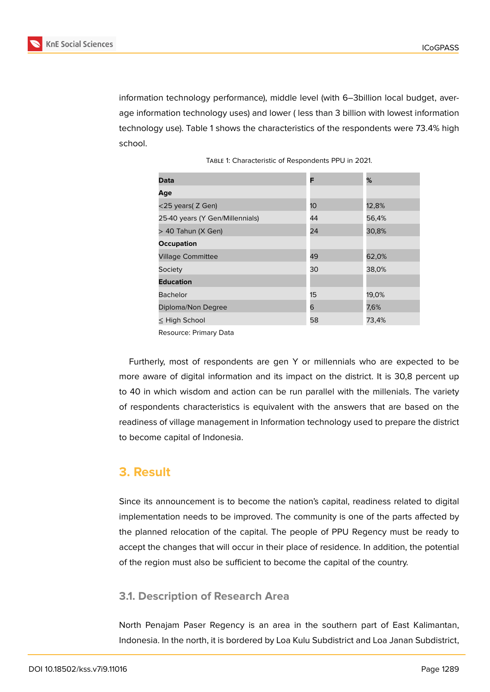

information technology performance), middle level (with 6–3billion local budget, average information technology uses) and lower ( less than 3 billion with lowest information technology use). Table 1 shows the characteristics of the respondents were 73.4% high school.

| Data                            | F  | %     |
|---------------------------------|----|-------|
| Age                             |    |       |
| $<$ 25 years( Z Gen)            | 10 | 12,8% |
| 25-40 years (Y Gen/Millennials) | 44 | 56,4% |
| > 40 Tahun (X Gen)              | 24 | 30,8% |
| <b>Occupation</b>               |    |       |
| <b>Village Committee</b>        | 49 | 62,0% |
| Society                         | 30 | 38,0% |
| <b>Education</b>                |    |       |
| <b>Bachelor</b>                 | 15 | 19,0% |
| Diploma/Non Degree              | 6  | 7,6%  |
| $\leq$ High School              | 58 | 73,4% |

Resource: Primary Data

Furtherly, most of respondents are gen Y or millennials who are expected to be more aware of digital information and its impact on the district. It is 30,8 percent up to 40 in which wisdom and action can be run parallel with the millenials. The variety of respondents characteristics is equivalent with the answers that are based on the readiness of village management in Information technology used to prepare the district to become capital of Indonesia.

# **3. Result**

Since its announcement is to become the nation's capital, readiness related to digital implementation needs to be improved. The community is one of the parts affected by the planned relocation of the capital. The people of PPU Regency must be ready to accept the changes that will occur in their place of residence. In addition, the potential of the region must also be sufficient to become the capital of the country.

#### **3.1. Description of Research Area**

North Penajam Paser Regency is an area in the southern part of East Kalimantan, Indonesia. In the north, it is bordered by Loa Kulu Subdistrict and Loa Janan Subdistrict,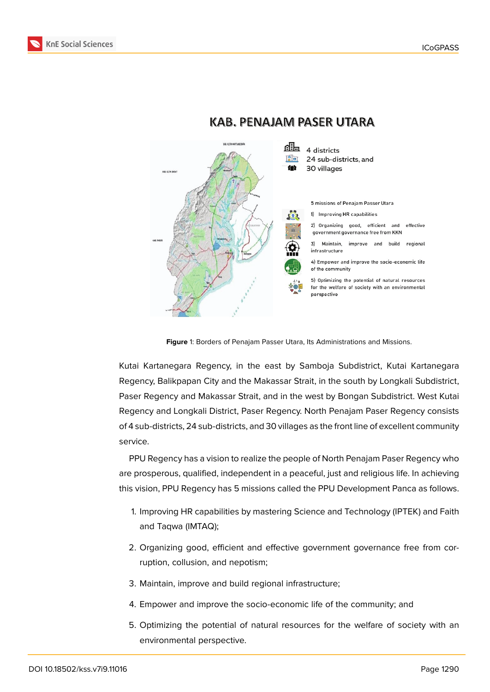



### **KAB. PENAJAM PASER UTARA**

**Figure** 1: Borders of Penajam Passer Utara, Its Administrations and Missions.

Kutai Kartanegara Regency, in the east by Samboja Subdistrict, Kutai Kartanegara Regency, Balikpapan City and the Makassar Strait, in the south by Longkali Subdistrict, Paser Regency and Makassar Strait, and in the west by Bongan Subdistrict. West Kutai Regency and Longkali District, Paser Regency. North Penajam Paser Regency consists of 4 sub-districts, 24 sub-districts, and 30 villages as the front line of excellent community service.

PPU Regency has a vision to realize the people of North Penajam Paser Regency who are prosperous, qualified, independent in a peaceful, just and religious life. In achieving this vision, PPU Regency has 5 missions called the PPU Development Panca as follows.

- 1. Improving HR capabilities by mastering Science and Technology (IPTEK) and Faith and Taqwa (IMTAQ);
- 2. Organizing good, efficient and effective government governance free from corruption, collusion, and nepotism;
- 3. Maintain, improve and build regional infrastructure;
- 4. Empower and improve the socio-economic life of the community; and
- 5. Optimizing the potential of natural resources for the welfare of society with an environmental perspective.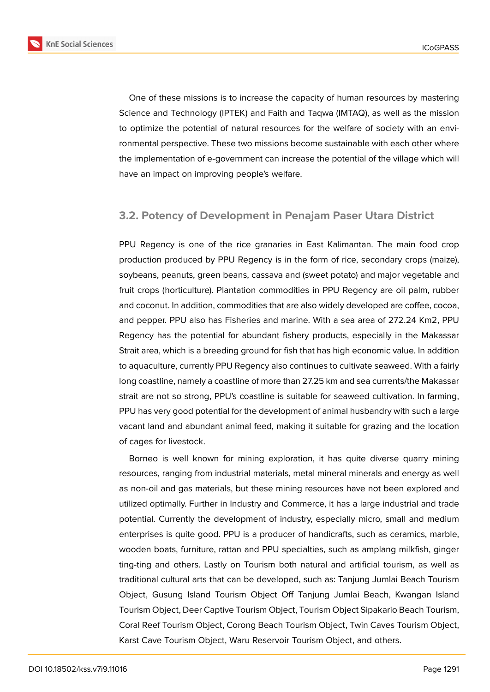

One of these missions is to increase the capacity of human resources by mastering Science and Technology (IPTEK) and Faith and Taqwa (IMTAQ), as well as the mission to optimize the potential of natural resources for the welfare of society with an environmental perspective. These two missions become sustainable with each other where the implementation of e-government can increase the potential of the village which will have an impact on improving people's welfare.

### **3.2. Potency of Development in Penajam Paser Utara District**

PPU Regency is one of the rice granaries in East Kalimantan. The main food crop production produced by PPU Regency is in the form of rice, secondary crops (maize), soybeans, peanuts, green beans, cassava and (sweet potato) and major vegetable and fruit crops (horticulture). Plantation commodities in PPU Regency are oil palm, rubber and coconut. In addition, commodities that are also widely developed are coffee, cocoa, and pepper. PPU also has Fisheries and marine. With a sea area of 272.24 Km2, PPU Regency has the potential for abundant fishery products, especially in the Makassar Strait area, which is a breeding ground for fish that has high economic value. In addition to aquaculture, currently PPU Regency also continues to cultivate seaweed. With a fairly long coastline, namely a coastline of more than 27.25 km and sea currents/the Makassar strait are not so strong, PPU's coastline is suitable for seaweed cultivation. In farming, PPU has very good potential for the development of animal husbandry with such a large vacant land and abundant animal feed, making it suitable for grazing and the location of cages for livestock.

Borneo is well known for mining exploration, it has quite diverse quarry mining resources, ranging from industrial materials, metal mineral minerals and energy as well as non-oil and gas materials, but these mining resources have not been explored and utilized optimally. Further in Industry and Commerce, it has a large industrial and trade potential. Currently the development of industry, especially micro, small and medium enterprises is quite good. PPU is a producer of handicrafts, such as ceramics, marble, wooden boats, furniture, rattan and PPU specialties, such as amplang milkfish, ginger ting-ting and others. Lastly on Tourism both natural and artificial tourism, as well as traditional cultural arts that can be developed, such as: Tanjung Jumlai Beach Tourism Object, Gusung Island Tourism Object Off Tanjung Jumlai Beach, Kwangan Island Tourism Object, Deer Captive Tourism Object, Tourism Object Sipakario Beach Tourism, Coral Reef Tourism Object, Corong Beach Tourism Object, Twin Caves Tourism Object, Karst Cave Tourism Object, Waru Reservoir Tourism Object, and others.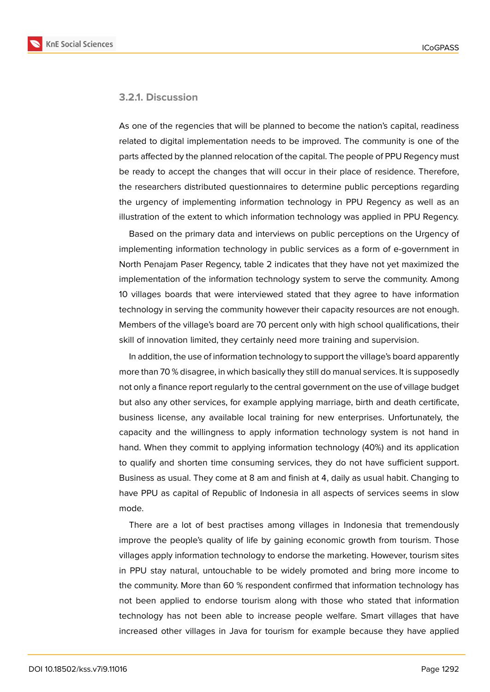

#### **3.2.1. Discussion**

As one of the regencies that will be planned to become the nation's capital, readiness related to digital implementation needs to be improved. The community is one of the parts affected by the planned relocation of the capital. The people of PPU Regency must be ready to accept the changes that will occur in their place of residence. Therefore, the researchers distributed questionnaires to determine public perceptions regarding the urgency of implementing information technology in PPU Regency as well as an illustration of the extent to which information technology was applied in PPU Regency.

Based on the primary data and interviews on public perceptions on the Urgency of implementing information technology in public services as a form of e-government in North Penajam Paser Regency, table 2 indicates that they have not yet maximized the implementation of the information technology system to serve the community. Among 10 villages boards that were interviewed stated that they agree to have information technology in serving the community however their capacity resources are not enough. Members of the village's board are 70 percent only with high school qualifications, their skill of innovation limited, they certainly need more training and supervision.

In addition, the use of information technology to support the village's board apparently more than 70 % disagree, in which basically they still do manual services. It is supposedly not only a finance report regularly to the central government on the use of village budget but also any other services, for example applying marriage, birth and death certificate, business license, any available local training for new enterprises. Unfortunately, the capacity and the willingness to apply information technology system is not hand in hand. When they commit to applying information technology (40%) and its application to qualify and shorten time consuming services, they do not have sufficient support. Business as usual. They come at 8 am and finish at 4, daily as usual habit. Changing to have PPU as capital of Republic of Indonesia in all aspects of services seems in slow mode.

There are a lot of best practises among villages in Indonesia that tremendously improve the people's quality of life by gaining economic growth from tourism. Those villages apply information technology to endorse the marketing. However, tourism sites in PPU stay natural, untouchable to be widely promoted and bring more income to the community. More than 60 % respondent confirmed that information technology has not been applied to endorse tourism along with those who stated that information technology has not been able to increase people welfare. Smart villages that have increased other villages in Java for tourism for example because they have applied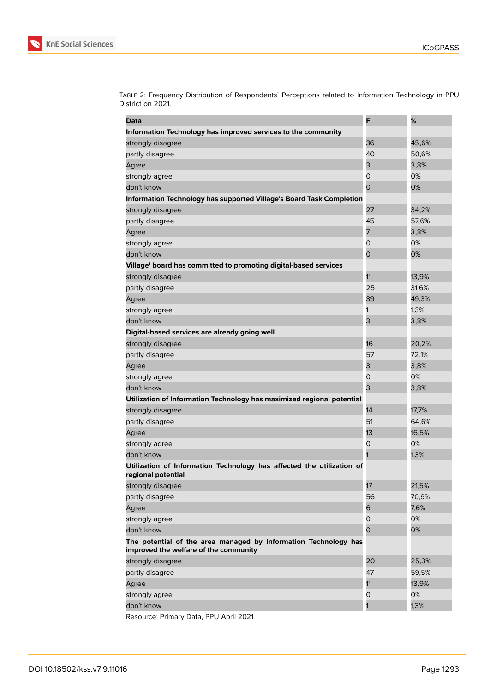

| Data                                                                                                     | F  | %     |
|----------------------------------------------------------------------------------------------------------|----|-------|
| Information Technology has improved services to the community                                            |    |       |
| strongly disagree                                                                                        | 36 | 45,6% |
| partly disagree                                                                                          | 40 | 50,6% |
| Agree                                                                                                    | 3  | 3,8%  |
| strongly agree                                                                                           | 0  | 0%    |
| don't know                                                                                               | 0  | 0%    |
| Information Technology has supported Village's Board Task Completion                                     |    |       |
| strongly disagree                                                                                        | 27 | 34,2% |
| partly disagree                                                                                          | 45 | 57,6% |
| Agree                                                                                                    | 7  | 3,8%  |
| strongly agree                                                                                           | 0  | 0%    |
| don't know                                                                                               | 0  | 0%    |
| Village' board has committed to promoting digital-based services                                         |    |       |
| strongly disagree                                                                                        | 11 | 13,9% |
| partly disagree                                                                                          | 25 | 31,6% |
| Agree                                                                                                    | 39 | 49,3% |
| strongly agree                                                                                           | 1  | 1,3%  |
| don't know                                                                                               | 3  | 3,8%  |
| Digital-based services are already going well                                                            |    |       |
| strongly disagree                                                                                        | 16 | 20,2% |
| partly disagree                                                                                          | 57 | 72,1% |
| Agree                                                                                                    | 3  | 3,8%  |
| strongly agree                                                                                           | 0  | 0%    |
| don't know                                                                                               | 3  | 3,8%  |
| Utilization of Information Technology has maximized regional potential                                   |    |       |
| strongly disagree                                                                                        | 14 | 17,7% |
| partly disagree                                                                                          | 51 | 64,6% |
| Agree                                                                                                    | 13 | 16,5% |
| strongly agree                                                                                           | 0  | 0%    |
| don't know                                                                                               |    | 1,3%  |
| Utilization of Information Technology has affected the utilization of<br>regional potential              |    |       |
| strongly disagree                                                                                        | 17 | 21,5% |
| partly disagree                                                                                          | 56 | 70,9% |
| Agree                                                                                                    | 6  | 7,6%  |
| strongly agree                                                                                           | 0  | 0%    |
| don't know                                                                                               | 0  | 0%    |
| The potential of the area managed by Information Technology has<br>improved the welfare of the community |    |       |
| strongly disagree                                                                                        | 20 | 25,3% |
| partly disagree                                                                                          | 47 | 59,5% |
| Agree                                                                                                    | 11 | 13,9% |
| strongly agree                                                                                           | 0  | 0%    |
| don't know                                                                                               | 1  | 1,3%  |
|                                                                                                          |    |       |

Table 2: Frequency Distribution of Respondents' Perceptions related to Information Technology in PPU District on 2021.

Resource: Primary Data, PPU April 2021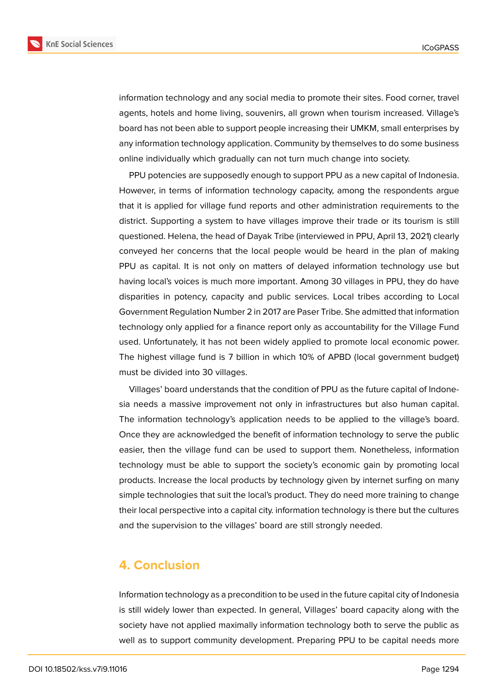

**KnE Social Sciences** 

information technology and any social media to promote their sites. Food corner, travel agents, hotels and home living, souvenirs, all grown when tourism increased. Village's board has not been able to support people increasing their UMKM, small enterprises by any information technology application. Community by themselves to do some business online individually which gradually can not turn much change into society.

PPU potencies are supposedly enough to support PPU as a new capital of Indonesia. However, in terms of information technology capacity, among the respondents argue that it is applied for village fund reports and other administration requirements to the district. Supporting a system to have villages improve their trade or its tourism is still questioned. Helena, the head of Dayak Tribe (interviewed in PPU, April 13, 2021) clearly conveyed her concerns that the local people would be heard in the plan of making PPU as capital. It is not only on matters of delayed information technology use but having local's voices is much more important. Among 30 villages in PPU, they do have disparities in potency, capacity and public services. Local tribes according to Local Government Regulation Number 2 in 2017 are Paser Tribe. She admitted that information technology only applied for a finance report only as accountability for the Village Fund used. Unfortunately, it has not been widely applied to promote local economic power. The highest village fund is 7 billion in which 10% of APBD (local government budget) must be divided into 30 villages.

Villages' board understands that the condition of PPU as the future capital of Indonesia needs a massive improvement not only in infrastructures but also human capital. The information technology's application needs to be applied to the village's board. Once they are acknowledged the benefit of information technology to serve the public easier, then the village fund can be used to support them. Nonetheless, information technology must be able to support the society's economic gain by promoting local products. Increase the local products by technology given by internet surfing on many simple technologies that suit the local's product. They do need more training to change their local perspective into a capital city. information technology is there but the cultures and the supervision to the villages' board are still strongly needed.

# **4. Conclusion**

Information technology as a precondition to be used in the future capital city of Indonesia is still widely lower than expected. In general, Villages' board capacity along with the society have not applied maximally information technology both to serve the public as well as to support community development. Preparing PPU to be capital needs more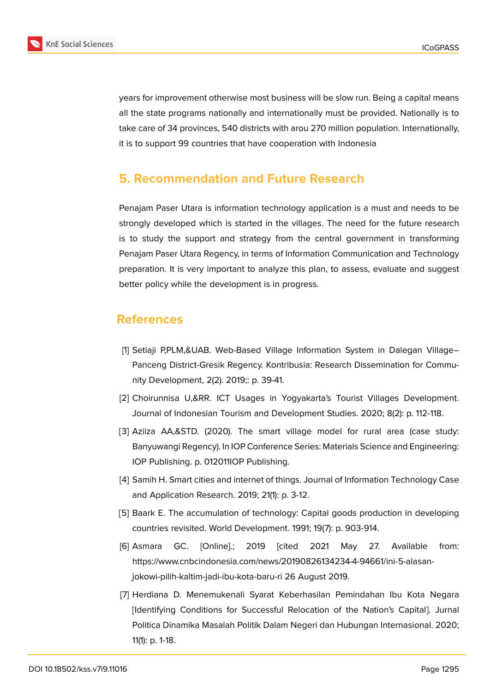

years for improvement otherwise most business will be slow run. Being a capital means all the state programs nationally and internationally must be provided. Nationally is to take care of 34 provinces, 540 districts with arou 270 million population. Internationally, it is to support 99 countries that have cooperation with Indonesia

# **5. Recommendation and Future Research**

Penajam Paser Utara is information technology application is a must and needs to be strongly developed which is started in the villages. The need for the future research is to study the support and strategy from the central government in transforming Penajam Paser Utara Regency, in terms of Information Communication and Technology preparation. It is very important to analyze this plan, to assess, evaluate and suggest better policy while the development is in progress.

# **References**

- [1] Setiaji P,PLM,&UAB. Web-Based Village Information System in Dalegan Village– Panceng District-Gresik Regency. Kontribusia: Research Dissemination for Community Development, 2(2). 2019;: p. 39-41.
- [2] Choirunnisa U,&RR. ICT Usages in Yogyakarta's Tourist Villages Development. Journal of Indonesian Tourism and Development Studies. 2020; 8(2): p. 112-118.
- [3] Aziiza AA,&STD. (2020). The smart village model for rural area (case study: Banyuwangi Regency). In IOP Conference Series: Materials Science and Engineering: IOP Publishing. p. 012011IOP Publishing.
- [4] Samih H. Smart cities and internet of things. Journal of Information Technology Case and Application Research. 2019; 21(1): p. 3-12.
- [5] Baark E. The accumulation of technology: Capital goods production in developing countries revisited. World Development. 1991; 19(7): p. 903-914.
- [6] Asmara GC. [Online].; 2019 [cited 2021 May 27. Available from: https://www.cnbcindonesia.com/news/20190826134234-4-94661/ini-5-alasanjokowi-pilih-kaltim-jadi-ibu-kota-baru-ri 26 August 2019.
- [7] Herdiana D. Menemukenali Syarat Keberhasilan Pemindahan Ibu Kota Negara [Identifying Conditions for Successful Relocation of the Nation's Capital]. Jurnal Politica Dinamika Masalah Politik Dalam Negeri dan Hubungan Internasional. 2020; 11(1): p. 1-18.